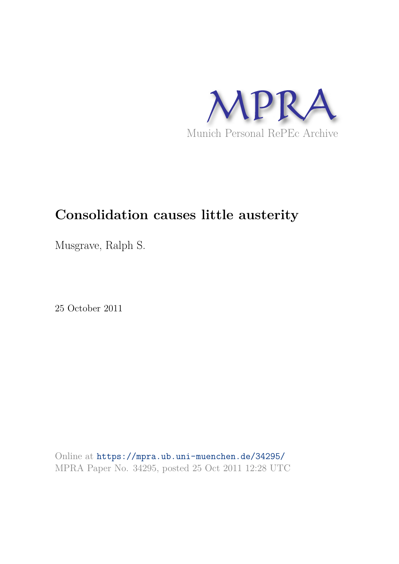

#### **Consolidation causes little austerity**

Musgrave, Ralph S.

25 October 2011

Online at https://mpra.ub.uni-muenchen.de/34295/ MPRA Paper No. 34295, posted 25 Oct 2011 12:28 UTC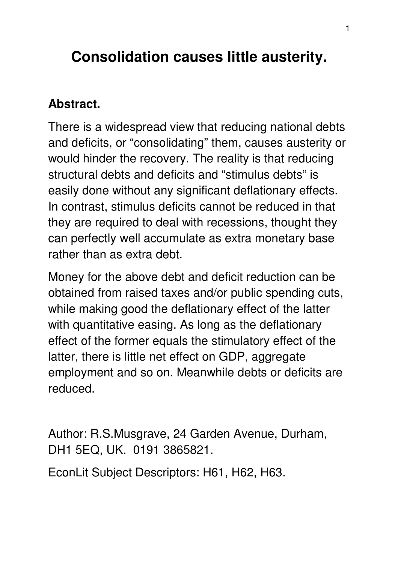# **Consolidation causes little austerity.**

#### **Abstract.**

There is a widespread view that reducing national debts and deficits, or "consolidating" them, causes austerity or would hinder the recovery. The reality is that reducing structural debts and deficits and "stimulus debts" is easily done without any significant deflationary effects. In contrast, stimulus deficits cannot be reduced in that they are required to deal with recessions, thought they can perfectly well accumulate as extra monetary base rather than as extra debt.

Money for the above debt and deficit reduction can be obtained from raised taxes and/or public spending cuts, while making good the deflationary effect of the latter with quantitative easing. As long as the deflationary effect of the former equals the stimulatory effect of the latter, there is little net effect on GDP, aggregate employment and so on. Meanwhile debts or deficits are reduced.

Author: R.S.Musgrave, 24 Garden Avenue, Durham, DH1 5EQ, UK. 0191 3865821.

EconLit Subject Descriptors: H61, H62, H63.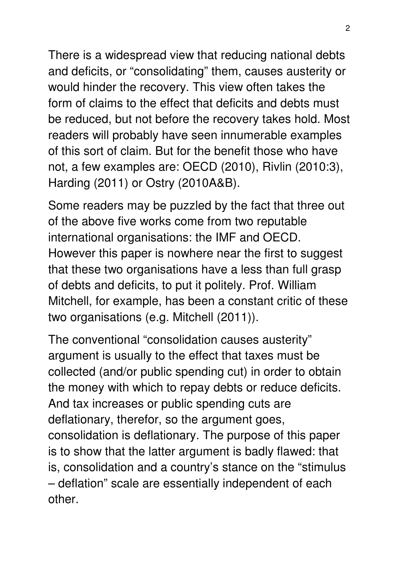There is a widespread view that reducing national debts and deficits, or "consolidating" them, causes austerity or would hinder the recovery. This view often takes the form of claims to the effect that deficits and debts must be reduced, but not before the recovery takes hold. Most readers will probably have seen innumerable examples of this sort of claim. But for the benefit those who have not, a few examples are: OECD (2010), Rivlin (2010:3), Harding (2011) or Ostry (2010A&B).

Some readers may be puzzled by the fact that three out of the above five works come from two reputable international organisations: the IMF and OECD. However this paper is nowhere near the first to suggest that these two organisations have a less than full grasp of debts and deficits, to put it politely. Prof. William Mitchell, for example, has been a constant critic of these two organisations (e.g. Mitchell (2011)).

The conventional "consolidation causes austerity" argument is usually to the effect that taxes must be collected (and/or public spending cut) in order to obtain the money with which to repay debts or reduce deficits. And tax increases or public spending cuts are deflationary, therefor, so the argument goes, consolidation is deflationary. The purpose of this paper is to show that the latter argument is badly flawed: that is, consolidation and a country's stance on the "stimulus – deflation" scale are essentially independent of each other.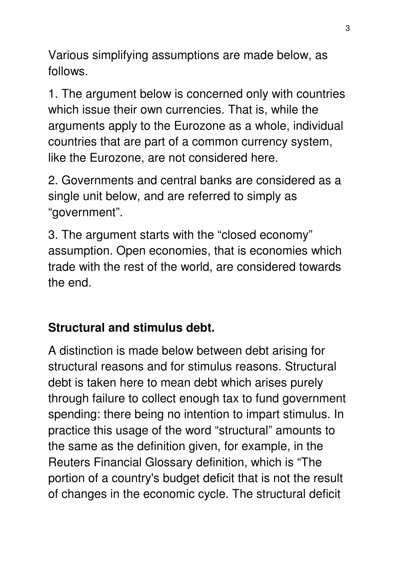Various simplifying assumptions are made below, as follows.

1. The argument below is concerned only with countries which issue their own currencies. That is, while the arguments apply to the Eurozone as a whole, individual countries that are part of a common currency system, like the Eurozone, are not considered here.

2. Governments and central banks are considered as a single unit below, and are referred to simply as "government".

3. The argument starts with the "closed economy" assumption. Open economies, that is economies which trade with the rest of the world, are considered towards the end.

#### **Structural and stimulus debt.**

A distinction is made below between debt arising for structural reasons and for stimulus reasons. Structural debt is taken here to mean debt which arises purely through failure to collect enough tax to fund government spending: there being no intention to impart stimulus. In practice this usage of the word "structural" amounts to the same as the definition given, for example, in the Reuters Financial Glossary definition, which is "The portion of a country's budget deficit that is not the result of changes in the economic cycle. The structural deficit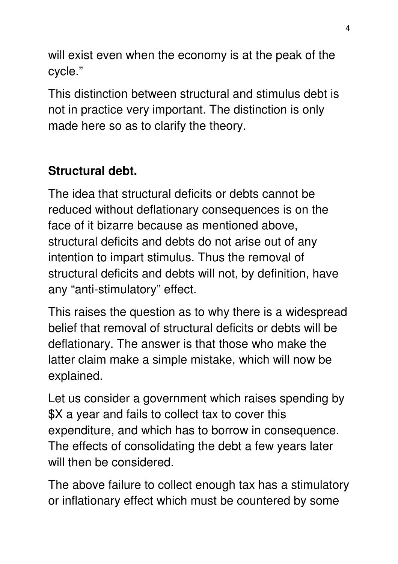will exist even when the economy is at the peak of the cycle."

This distinction between structural and stimulus debt is not in practice very important. The distinction is only made here so as to clarify the theory.

#### **Structural debt.**

The idea that structural deficits or debts cannot be reduced without deflationary consequences is on the face of it bizarre because as mentioned above, structural deficits and debts do not arise out of any intention to impart stimulus. Thus the removal of structural deficits and debts will not, by definition, have any "anti-stimulatory" effect.

This raises the question as to why there is a widespread belief that removal of structural deficits or debts will be deflationary. The answer is that those who make the latter claim make a simple mistake, which will now be explained.

Let us consider a government which raises spending by \$X a year and fails to collect tax to cover this expenditure, and which has to borrow in consequence. The effects of consolidating the debt a few years later will then be considered.

The above failure to collect enough tax has a stimulatory or inflationary effect which must be countered by some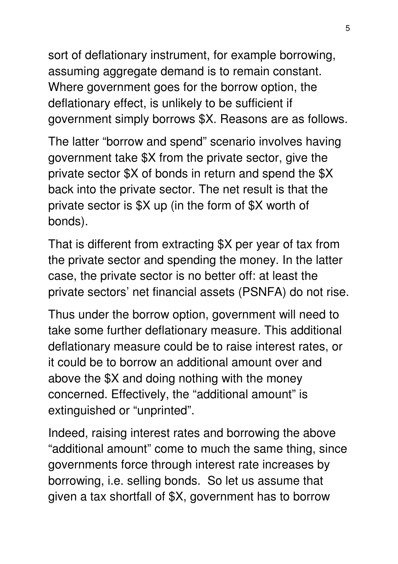sort of deflationary instrument, for example borrowing, assuming aggregate demand is to remain constant. Where government goes for the borrow option, the deflationary effect, is unlikely to be sufficient if government simply borrows \$X. Reasons are as follows.

The latter "borrow and spend" scenario involves having government take \$X from the private sector, give the private sector \$X of bonds in return and spend the \$X back into the private sector. The net result is that the private sector is \$X up (in the form of \$X worth of bonds).

That is different from extracting \$X per year of tax from the private sector and spending the money. In the latter case, the private sector is no better off: at least the private sectors' net financial assets (PSNFA) do not rise.

Thus under the borrow option, government will need to take some further deflationary measure. This additional deflationary measure could be to raise interest rates, or it could be to borrow an additional amount over and above the \$X and doing nothing with the money concerned. Effectively, the "additional amount" is extinguished or "unprinted".

Indeed, raising interest rates and borrowing the above "additional amount" come to much the same thing, since governments force through interest rate increases by borrowing, i.e. selling bonds. So let us assume that given a tax shortfall of \$X, government has to borrow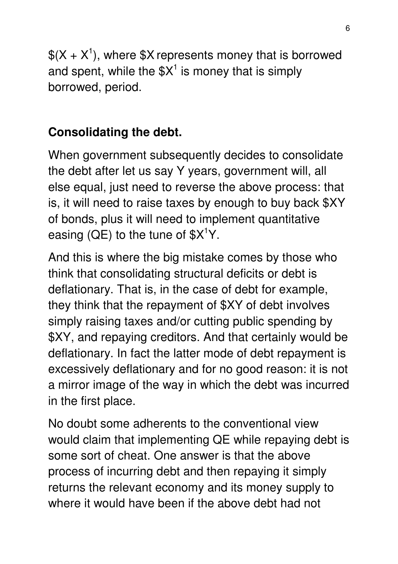$(X + X<sup>1</sup>)$ , where \$X represents money that is borrowed and spent, while the  $$X^1$  is money that is simply borrowed, period.

### **Consolidating the debt.**

When government subsequently decides to consolidate the debt after let us say Y years, government will, all else equal, just need to reverse the above process: that is, it will need to raise taxes by enough to buy back \$XY of bonds, plus it will need to implement quantitative easing (QE) to the tune of  $$X^1Y$ .

And this is where the big mistake comes by those who think that consolidating structural deficits or debt is deflationary. That is, in the case of debt for example, they think that the repayment of \$XY of debt involves simply raising taxes and/or cutting public spending by \$XY, and repaying creditors. And that certainly would be deflationary. In fact the latter mode of debt repayment is excessively deflationary and for no good reason: it is not a mirror image of the way in which the debt was incurred in the first place.

No doubt some adherents to the conventional view would claim that implementing QE while repaying debt is some sort of cheat. One answer is that the above process of incurring debt and then repaying it simply returns the relevant economy and its money supply to where it would have been if the above debt had not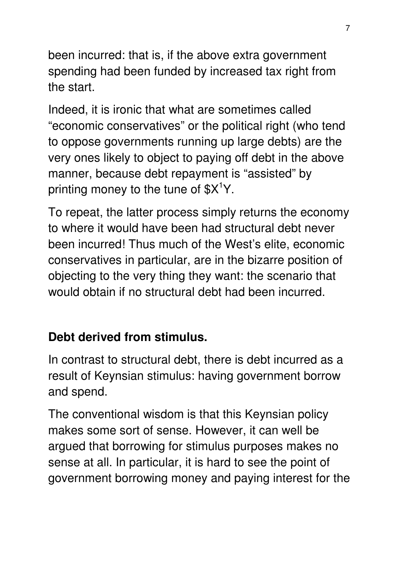been incurred: that is, if the above extra government spending had been funded by increased tax right from the start.

Indeed, it is ironic that what are sometimes called "economic conservatives" or the political right (who tend to oppose governments running up large debts) are the very ones likely to object to paying off debt in the above manner, because debt repayment is "assisted" by printing money to the tune of  $$X<sup>1</sup>Y$ .

To repeat, the latter process simply returns the economy to where it would have been had structural debt never been incurred! Thus much of the West's elite, economic conservatives in particular, are in the bizarre position of objecting to the very thing they want: the scenario that would obtain if no structural debt had been incurred.

#### **Debt derived from stimulus.**

In contrast to structural debt, there is debt incurred as a result of Keynsian stimulus: having government borrow and spend.

The conventional wisdom is that this Keynsian policy makes some sort of sense. However, it can well be argued that borrowing for stimulus purposes makes no sense at all. In particular, it is hard to see the point of government borrowing money and paying interest for the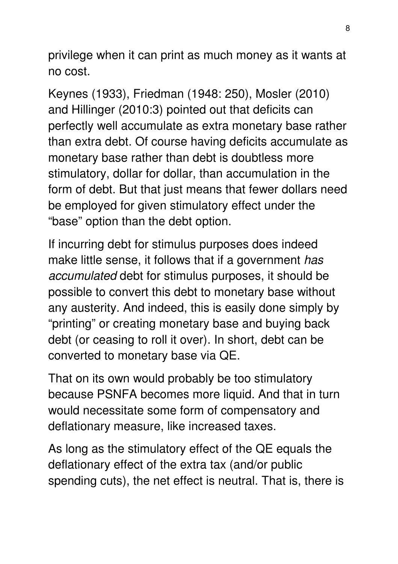privilege when it can print as much money as it wants at no cost.

Keynes (1933), Friedman (1948: 250), Mosler (2010) and Hillinger (2010:3) pointed out that deficits can perfectly well accumulate as extra monetary base rather than extra debt. Of course having deficits accumulate as monetary base rather than debt is doubtless more stimulatory, dollar for dollar, than accumulation in the form of debt. But that just means that fewer dollars need be employed for given stimulatory effect under the "base" option than the debt option.

If incurring debt for stimulus purposes does indeed make little sense, it follows that if a government has accumulated debt for stimulus purposes, it should be possible to convert this debt to monetary base without any austerity. And indeed, this is easily done simply by "printing" or creating monetary base and buying back debt (or ceasing to roll it over). In short, debt can be converted to monetary base via QE.

That on its own would probably be too stimulatory because PSNFA becomes more liquid. And that in turn would necessitate some form of compensatory and deflationary measure, like increased taxes.

As long as the stimulatory effect of the QE equals the deflationary effect of the extra tax (and/or public spending cuts), the net effect is neutral. That is, there is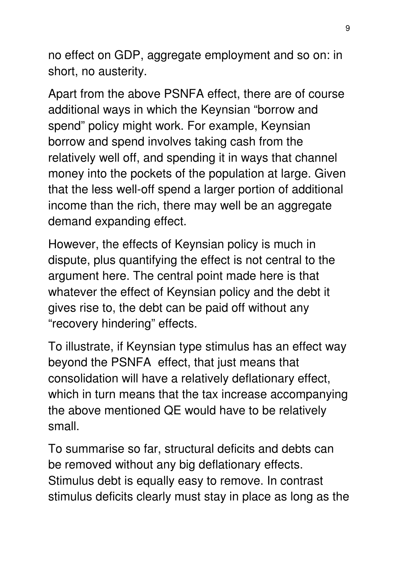no effect on GDP, aggregate employment and so on: in short, no austerity.

Apart from the above PSNFA effect, there are of course additional ways in which the Keynsian "borrow and spend" policy might work. For example, Keynsian borrow and spend involves taking cash from the relatively well off, and spending it in ways that channel money into the pockets of the population at large. Given that the less well-off spend a larger portion of additional income than the rich, there may well be an aggregate demand expanding effect.

However, the effects of Keynsian policy is much in dispute, plus quantifying the effect is not central to the argument here. The central point made here is that whatever the effect of Keynsian policy and the debt it gives rise to, the debt can be paid off without any "recovery hindering" effects.

To illustrate, if Keynsian type stimulus has an effect way beyond the PSNFA effect, that just means that consolidation will have a relatively deflationary effect, which in turn means that the tax increase accompanying the above mentioned QE would have to be relatively small.

To summarise so far, structural deficits and debts can be removed without any big deflationary effects. Stimulus debt is equally easy to remove. In contrast stimulus deficits clearly must stay in place as long as the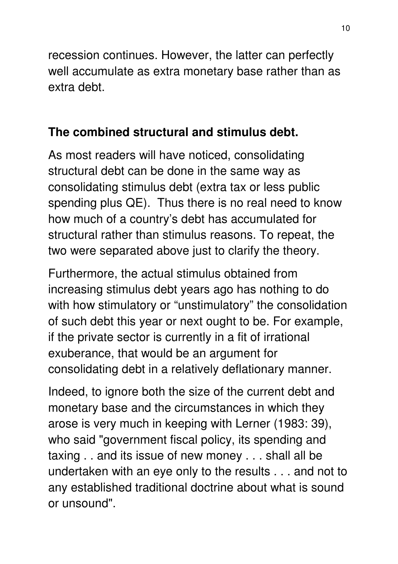recession continues. However, the latter can perfectly well accumulate as extra monetary base rather than as extra debt.

### **The combined structural and stimulus debt.**

As most readers will have noticed, consolidating structural debt can be done in the same way as consolidating stimulus debt (extra tax or less public spending plus QE). Thus there is no real need to know how much of a country's debt has accumulated for structural rather than stimulus reasons. To repeat, the two were separated above just to clarify the theory.

Furthermore, the actual stimulus obtained from increasing stimulus debt years ago has nothing to do with how stimulatory or "unstimulatory" the consolidation of such debt this year or next ought to be. For example, if the private sector is currently in a fit of irrational exuberance, that would be an argument for consolidating debt in a relatively deflationary manner.

Indeed, to ignore both the size of the current debt and monetary base and the circumstances in which they arose is very much in keeping with Lerner (1983: 39), who said "government fiscal policy, its spending and taxing . . and its issue of new money . . . shall all be undertaken with an eye only to the results . . . and not to any established traditional doctrine about what is sound or unsound".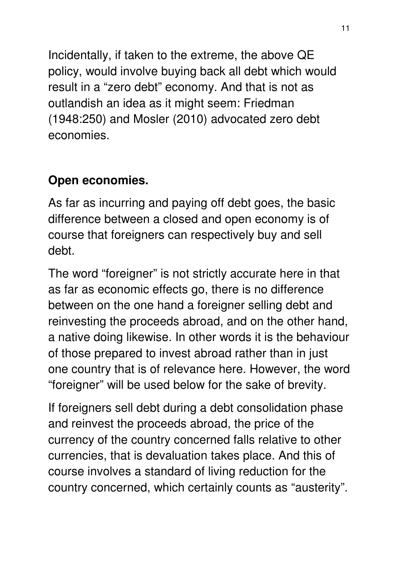Incidentally, if taken to the extreme, the above QE policy, would involve buying back all debt which would result in a "zero debt" economy. And that is not as outlandish an idea as it might seem: Friedman (1948:250) and Mosler (2010) advocated zero debt economies.

#### **Open economies.**

As far as incurring and paying off debt goes, the basic difference between a closed and open economy is of course that foreigners can respectively buy and sell debt.

The word "foreigner" is not strictly accurate here in that as far as economic effects go, there is no difference between on the one hand a foreigner selling debt and reinvesting the proceeds abroad, and on the other hand, a native doing likewise. In other words it is the behaviour of those prepared to invest abroad rather than in just one country that is of relevance here. However, the word "foreigner" will be used below for the sake of brevity.

If foreigners sell debt during a debt consolidation phase and reinvest the proceeds abroad, the price of the currency of the country concerned falls relative to other currencies, that is devaluation takes place. And this of course involves a standard of living reduction for the country concerned, which certainly counts as "austerity".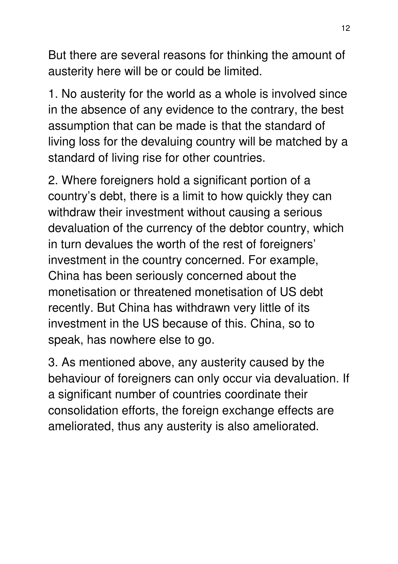But there are several reasons for thinking the amount of austerity here will be or could be limited.

1. No austerity for the world as a whole is involved since in the absence of any evidence to the contrary, the best assumption that can be made is that the standard of living loss for the devaluing country will be matched by a standard of living rise for other countries.

2. Where foreigners hold a significant portion of a country's debt, there is a limit to how quickly they can withdraw their investment without causing a serious devaluation of the currency of the debtor country, which in turn devalues the worth of the rest of foreigners' investment in the country concerned. For example, China has been seriously concerned about the monetisation or threatened monetisation of US debt recently. But China has withdrawn very little of its investment in the US because of this. China, so to speak, has nowhere else to go.

3. As mentioned above, any austerity caused by the behaviour of foreigners can only occur via devaluation. If a significant number of countries coordinate their consolidation efforts, the foreign exchange effects are ameliorated, thus any austerity is also ameliorated.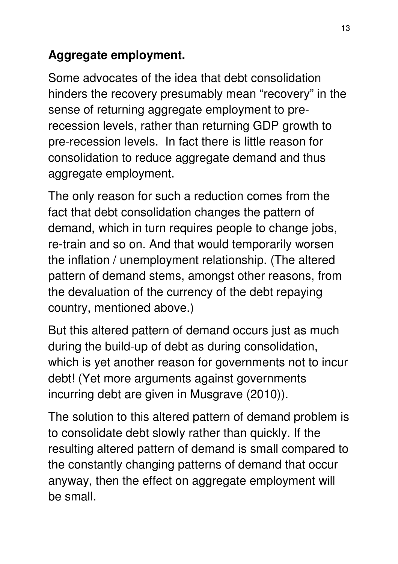# **Aggregate employment.**

Some advocates of the idea that debt consolidation hinders the recovery presumably mean "recovery" in the sense of returning aggregate employment to prerecession levels, rather than returning GDP growth to pre-recession levels. In fact there is little reason for consolidation to reduce aggregate demand and thus aggregate employment.

The only reason for such a reduction comes from the fact that debt consolidation changes the pattern of demand, which in turn requires people to change jobs, re-train and so on. And that would temporarily worsen the inflation / unemployment relationship. (The altered pattern of demand stems, amongst other reasons, from the devaluation of the currency of the debt repaying country, mentioned above.)

But this altered pattern of demand occurs just as much during the build-up of debt as during consolidation, which is yet another reason for governments not to incur debt! (Yet more arguments against governments incurring debt are given in Musgrave (2010)).

The solution to this altered pattern of demand problem is to consolidate debt slowly rather than quickly. If the resulting altered pattern of demand is small compared to the constantly changing patterns of demand that occur anyway, then the effect on aggregate employment will be small.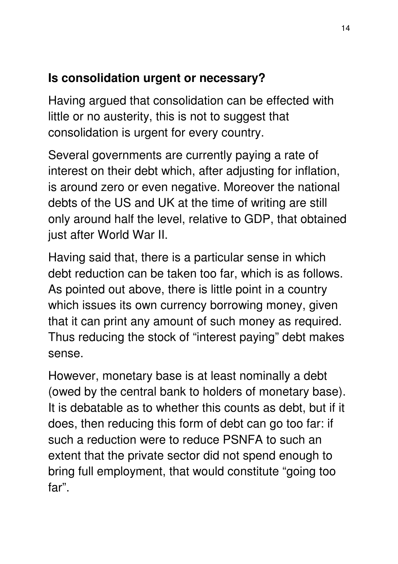### **Is consolidation urgent or necessary?**

Having argued that consolidation can be effected with little or no austerity, this is not to suggest that consolidation is urgent for every country.

Several governments are currently paying a rate of interest on their debt which, after adjusting for inflation, is around zero or even negative. Moreover the national debts of the US and UK at the time of writing are still only around half the level, relative to GDP, that obtained just after World War II.

Having said that, there is a particular sense in which debt reduction can be taken too far, which is as follows. As pointed out above, there is little point in a country which issues its own currency borrowing money, given that it can print any amount of such money as required. Thus reducing the stock of "interest paying" debt makes sense.

However, monetary base is at least nominally a debt (owed by the central bank to holders of monetary base). It is debatable as to whether this counts as debt, but if it does, then reducing this form of debt can go too far: if such a reduction were to reduce PSNFA to such an extent that the private sector did not spend enough to bring full employment, that would constitute "going too far".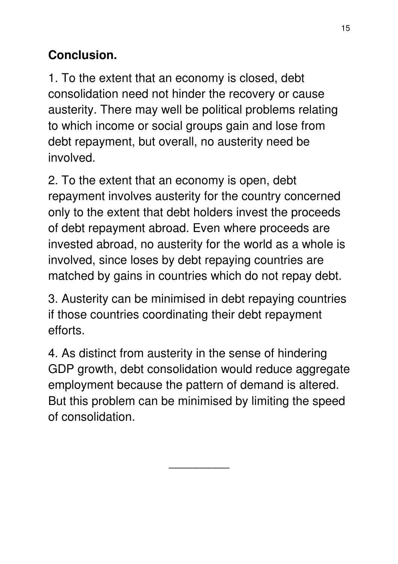# **Conclusion.**

1. To the extent that an economy is closed, debt consolidation need not hinder the recovery or cause austerity. There may well be political problems relating to which income or social groups gain and lose from debt repayment, but overall, no austerity need be involved.

2. To the extent that an economy is open, debt repayment involves austerity for the country concerned only to the extent that debt holders invest the proceeds of debt repayment abroad. Even where proceeds are invested abroad, no austerity for the world as a whole is involved, since loses by debt repaying countries are matched by gains in countries which do not repay debt.

3. Austerity can be minimised in debt repaying countries if those countries coordinating their debt repayment efforts.

4. As distinct from austerity in the sense of hindering GDP growth, debt consolidation would reduce aggregate employment because the pattern of demand is altered. But this problem can be minimised by limiting the speed of consolidation.

 $\overline{\phantom{a}}$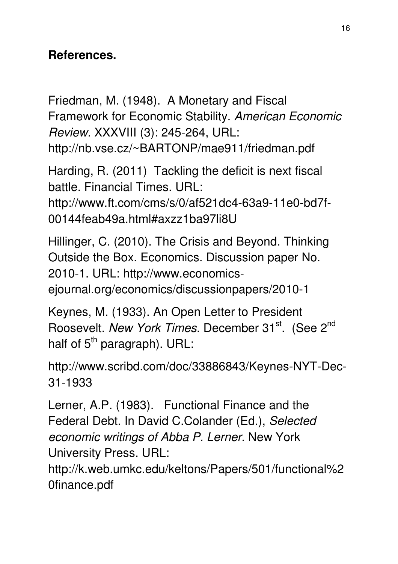#### **References.**

Friedman, M. (1948). A Monetary and Fiscal Framework for Economic Stability. American Economic Review. XXXVIII (3): 245-264, URL: http://nb.vse.cz/~BARTONP/mae911/friedman.pdf

Harding, R. (2011) Tackling the deficit is next fiscal battle. Financial Times. URL: http://www.ft.com/cms/s/0/af521dc4-63a9-11e0-bd7f-00144feab49a.html#axzz1ba97li8U

Hillinger, C. (2010). The Crisis and Beyond. Thinking Outside the Box. Economics. Discussion paper No. 2010-1. URL: http://www.economicsejournal.org/economics/discussionpapers/2010-1

Keynes, M. (1933). An Open Letter to President Roosevelt. New York Times. December 31<sup>st</sup>. (See 2<sup>nd</sup> half of  $5<sup>th</sup>$  paragraph). URL:

http://www.scribd.com/doc/33886843/Keynes-NYT-Dec-31-1933

Lerner, A.P. (1983). Functional Finance and the Federal Debt. In David C.Colander (Ed.), Selected economic writings of Abba P. Lerner. New York University Press. URL:

http://k.web.umkc.edu/keltons/Papers/501/functional%2 0finance.pdf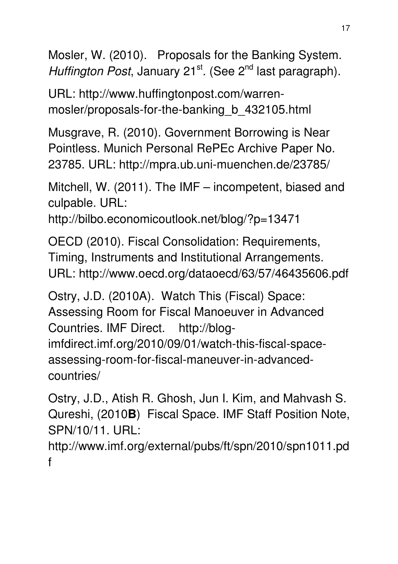Mosler, W. (2010). Proposals for the Banking System. Huffington Post, January 21<sup>st</sup>. (See 2<sup>nd</sup> last paragraph).

URL: http://www.huffingtonpost.com/warrenmosler/proposals-for-the-banking\_b\_432105.html

Musgrave, R. (2010). Government Borrowing is Near Pointless. Munich Personal RePEc Archive Paper No. 23785. URL: http://mpra.ub.uni-muenchen.de/23785/

Mitchell, W. (2011). The IMF – incompetent, biased and culpable. URL:

http://bilbo.economicoutlook.net/blog/?p=13471

OECD (2010). Fiscal Consolidation: Requirements, Timing, Instruments and Institutional Arrangements. URL: http://www.oecd.org/dataoecd/63/57/46435606.pdf

Ostry, J.D. (2010A). Watch This (Fiscal) Space: Assessing Room for Fiscal Manoeuver in Advanced Countries. IMF Direct. http://blogimfdirect.imf.org/2010/09/01/watch-this-fiscal-spaceassessing-room-for-fiscal-maneuver-in-advancedcountries/

Ostry, J.D., Atish R. Ghosh, Jun I. Kim, and Mahvash S. Qureshi, (2010**B**) Fiscal Space. IMF Staff Position Note, SPN/10/11. URL:

http://www.imf.org/external/pubs/ft/spn/2010/spn1011.pd f